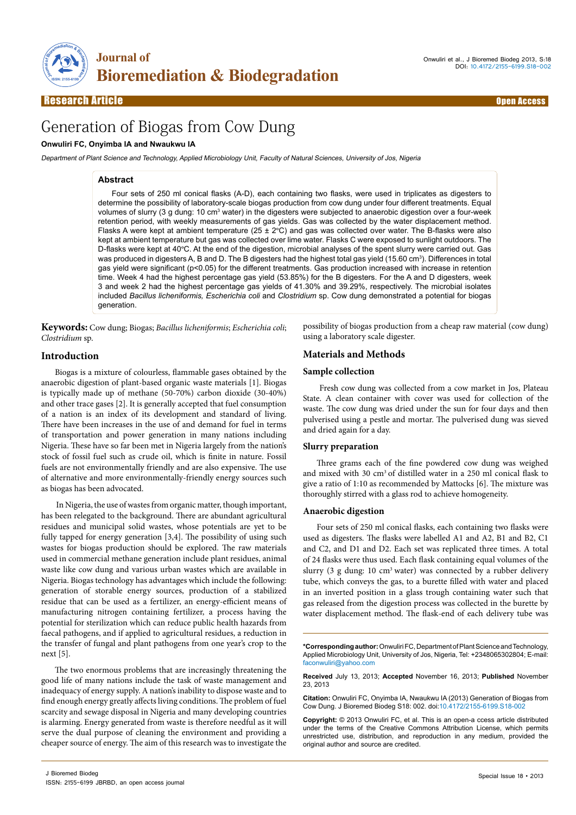

# esearch Article

**J**

# Generation of Biogas from Cow Dung

## **Onwuliri FC, Onyimba IA and Nwaukwu IA**

Department of Plant Science and Technology, Applied Microbiology Unit, Faculty of Natural Sciences, University of Jos, Nigeria

## **Abstract**

Four sets of 250 ml conical flasks (A-D), each containing two flasks, were used in triplicates as digesters to determine the possibility of laboratory-scale biogas production from cow dung under four different treatments. Equal volumes of slurry (3 g dung: 10 cm<sup>3</sup> water) in the digesters were subjected to anaerobic digestion over a four-week retention period, with weekly measurements of gas yields. Gas was collected by the water displacement method. Flasks A were kept at ambient temperature (25  $\pm$  2°C) and gas was collected over water. The B-flasks were also kept at ambient temperature but gas was collected over lime water. Flasks C were exposed to sunlight outdoors. The D-flasks were kept at 40°C. At the end of the digestion, microbial analyses of the spent slurry were carried out. Gas was produced in digesters A, B and D. The B digesters had the highest total gas yield (15.60 cm3). Differences in total gas yield were significant (p<0.05) for the different treatments. Gas production increased with increase in retention time. Week 4 had the highest percentage gas yield (53.85%) for the B digesters. For the A and D digesters, week 3 and week 2 had the highest percentage gas yields of 41.30% and 39.29%, respectively. The microbial isolates included *Bacillus licheniformis, Escherichia coli* and *Clostridium* sp. Cow dung demonstrated a potential for biogas generation.

**Keywords:** Cow dung; Biogas; *Bacillus licheniformis*; *Escherichia coli*; *Clostridium* sp.

## **Introduction**

Biogas is a mixture of colourless, flammable gases obtained by the anaerobic digestion of plant-based organic waste materials [1]. Biogas is typically made up of methane (50-70%) carbon dioxide (30-40%) and other trace gases [2]. It is generally accepted that fuel consumption of a nation is an index of its development and standard of living. There have been increases in the use of and demand for fuel in terms of transportation and power generation in many nations including Nigeria. These have so far been met in Nigeria largely from the nation's stock of fossil fuel such as crude oil, which is finite in nature. Fossil fuels are not environmentally friendly and are also expensive. The use of alternative and more environmentally-friendly energy sources such as biogas has been advocated.

 In Nigeria, the use of wastes from organic matter, though important, has been relegated to the background. There are abundant agricultural residues and municipal solid wastes, whose potentials are yet to be fully tapped for energy generation [3,4]. The possibility of using such wastes for biogas production should be explored. The raw materials used in commercial methane generation include plant residues, animal waste like cow dung and various urban wastes which are available in Nigeria. Biogas technology has advantages which include the following: generation of storable energy sources, production of a stabilized residue that can be used as a fertilizer, an energy-efficient means of manufacturing nitrogen containing fertilizer, a process having the potential for sterilization which can reduce public health hazards from faecal pathogens, and if applied to agricultural residues, a reduction in the transfer of fungal and plant pathogens from one year's crop to the next [5].

The two enormous problems that are increasingly threatening the good life of many nations include the task of waste management and inadequacy of energy supply. A nation's inability to dispose waste and to find enough energy greatly affects living conditions. The problem of fuel scarcity and sewage disposal in Nigeria and many developing countries is alarming. Energy generated from waste is therefore needful as it will serve the dual purpose of cleaning the environment and providing a cheaper source of energy. The aim of this research was to investigate the

possibility of biogas production from a cheap raw material (cow dung) using a laboratory scale digester.

## **Materials and Methods**

#### **Sample collection**

 Fresh cow dung was collected from a cow market in Jos, Plateau State. A clean container with cover was used for collection of the waste. The cow dung was dried under the sun for four days and then pulverised using a pestle and mortar. The pulverised dung was sieved and dried again for a day.

#### **Slurry preparation**

Three grams each of the fine powdered cow dung was weighed and mixed with 30 cm3 of distilled water in a 250 ml conical flask to give a ratio of 1:10 as recommended by Mattocks [6]. The mixture was thoroughly stirred with a glass rod to achieve homogeneity.

#### **Anaerobic digestion**

Four sets of 250 ml conical flasks, each containing two flasks were used as digesters. The flasks were labelled A1 and A2, B1 and B2, C1 and C2, and D1 and D2. Each set was replicated three times. A total of 24 flasks were thus used. Each flask containing equal volumes of the slurry  $(3 \text{ g} \text{ dung}: 10 \text{ cm}^3 \text{ water})$  was connected by a rubber delivery tube, which conveys the gas, to a burette filled with water and placed in an inverted position in a glass trough containing water such that gas released from the digestion process was collected in the burette by water displacement method. The flask-end of each delivery tube was

**Received** July 13, 2013; **Accepted** November 16, 2013; **Published** November 23, 2013

**Citation:** Onwuliri FC, Onyimba IA, Nwaukwu IA (2013) Generation of Biogas from Cow Dung. J Bioremed Biodeg S18: 002. doi:10.4172/2155-6199.S18-002

**Copyright:** © 2013 Onwuliri FC, et al. This is an open-a ccess article distributed under the terms of the Creative Commons Attribution License, which permits unrestricted use, distribution, and reproduction in any medium, provided the original author and source are credited.

**<sup>\*</sup>Corresponding author:** Onwuliri FC, Department of Plant Science and Technology, Applied Microbiology Unit, University of Jos, Nigeria, Tel: +2348065302804; E-mail: faconwuliri@yahoo.com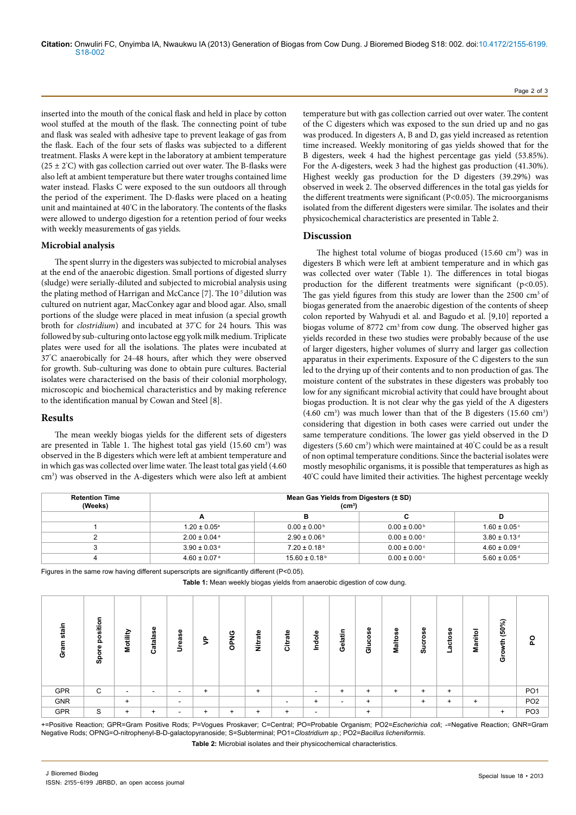inserted into the mouth of the conical flask and held in place by cotton wool stuffed at the mouth of the flask. The connecting point of tube and flask was sealed with adhesive tape to prevent leakage of gas from the flask. Each of the four sets of flasks was subjected to a different treatment. Flasks A were kept in the laboratory at ambient temperature  $(25 \pm 2^{\circ}C)$  with gas collection carried out over water. The B-flasks were also left at ambient temperature but there water troughs contained lime water instead. Flasks C were exposed to the sun outdoors all through the period of the experiment. The D-flasks were placed on a heating unit and maintained at 40° C in the laboratory. The contents of the flasks were allowed to undergo digestion for a retention period of four weeks with weekly measurements of gas yields.

#### **Microbial analysis**

The spent slurry in the digesters was subjected to microbial analyses at the end of the anaerobic digestion. Small portions of digested slurry (sludge) were serially-diluted and subjected to microbial analysis using the plating method of Harrigan and McCance [7]. The 10<sup>-5</sup> dilution was cultured on nutrient agar, MacConkey agar and blood agar. Also, small portions of the sludge were placed in meat infusion (a special growth broth for *clostridium*) and incubated at 37° C for 24 hours*.* This was followed by sub-culturing onto lactose egg yolk milk medium. Triplicate plates were used for all the isolations. The plates were incubated at 37° C anaerobically for 24-48 hours, after which they were observed for growth. Sub-culturing was done to obtain pure cultures. Bacterial isolates were characterised on the basis of their colonial morphology, microscopic and biochemical characteristics and by making reference to the identification manual by Cowan and Steel [8].

## **Results**

The mean weekly biogas yields for the different sets of digesters are presented in Table 1. The highest total gas yield  $(15.60 \text{ cm}^3)$  was observed in the B digesters which were left at ambient temperature and in which gas was collected over lime water. The least total gas yield (4.60 cm<sup>3</sup>) was observed in the A-digesters which were also left at ambient temperature but with gas collection carried out over water. The content of the C digesters which was exposed to the sun dried up and no gas was produced. In digesters A, B and D, gas yield increased as retention time increased. Weekly monitoring of gas yields showed that for the B digesters, week 4 had the highest percentage gas yield (53.85%). For the A-digesters, week 3 had the highest gas production (41.30%). Highest weekly gas production for the D digesters (39.29%) was observed in week 2. The observed differences in the total gas yields for the different treatments were significant (P<0.05). The microorganisms isolated from the different digesters were similar. The isolates and their physicochemical characteristics are presented in Table 2.

#### **Discussion**

The highest total volume of biogas produced  $(15.60 \text{ cm}^3)$  was in digesters B which were left at ambient temperature and in which gas was collected over water (Table 1). The differences in total biogas production for the different treatments were significant  $(p<0.05)$ . The gas yield figures from this study are lower than the  $2500 \text{ cm}^3$  of biogas generated from the anaerobic digestion of the contents of sheep colon reported by Wahyudi et al. and Bagudo et al. [9,10] reported a biogas volume of 8772 cm<sup>3</sup> from cow dung. The observed higher gas yields recorded in these two studies were probably because of the use of larger digesters, higher volumes of slurry and larger gas collection apparatus in their experiments. Exposure of the C digesters to the sun led to the drying up of their contents and to non production of gas. The moisture content of the substrates in these digesters was probably too low for any significant microbial activity that could have brought about biogas production. It is not clear why the gas yield of the A digesters  $(4.60 \text{ cm}^3)$  was much lower than that of the B digesters  $(15.60 \text{ cm}^3)$ considering that digestion in both cases were carried out under the same temperature conditions. The lower gas yield observed in the D digesters (5.60 cm<sup>3</sup>) which were maintained at  $40^{\circ}$ C could be as a result of non optimal temperature conditions. Since the bacterial isolates were mostly mesophilic organisms, it is possible that temperatures as high as 40° C could have limited their activities. The highest percentage weekly

| <b>Retention Time</b><br>(Weeks) | Mean Gas Yields from Digesters (± SD)<br>$\text{(cm}^3\text{)}$ |                               |                              |                              |  |  |  |  |  |  |
|----------------------------------|-----------------------------------------------------------------|-------------------------------|------------------------------|------------------------------|--|--|--|--|--|--|
|                                  | A                                                               | D                             | C                            | D                            |  |  |  |  |  |  |
|                                  | $1.20 \pm 0.05^{\circ}$                                         | $0.00 \pm 0.00$ <sup>b</sup>  | $0.00 \pm 0.00$ <sup>b</sup> | $1.60 \pm 0.05$ °            |  |  |  |  |  |  |
|                                  | $2.00 \pm 0.04$ <sup>a</sup>                                    | $2.90 \pm 0.06$ <sup>b</sup>  | $0.00 \pm 0.00$              | $3.80 \pm 0.13$ <sup>d</sup> |  |  |  |  |  |  |
|                                  | $3.90 \pm 0.03^{\circ}$                                         | $7.20 \pm 0.18^{\circ}$       | $0.00 \pm 0.00$              | $4.60 \pm 0.09$ <sup>d</sup> |  |  |  |  |  |  |
|                                  | $4.60 \pm 0.07$ <sup>a</sup>                                    | $15.60 \pm 0.18$ <sup>b</sup> | $0.00 \pm 0.00$              | $5.60 \pm 0.05$ <sup>d</sup> |  |  |  |  |  |  |

Figures in the same row having different superscripts are significantly different (P<0.05).

**Table 1:** Mean weekly biogas yields from anaerobic digestion of cow dung.

| stain<br>Gram | position<br>Spore | Motility | Catalase                 | Urease                   | ₿         | OPNG | <b>Nitrate</b>                   | Citrate                  | Indole                   | Gelatin                  | Glucose | <b>Maltose</b> | Sucrose   | Lactose   | <b>Manitol</b> | $(50\%)$<br>Growth | ဥ               |
|---------------|-------------------|----------|--------------------------|--------------------------|-----------|------|----------------------------------|--------------------------|--------------------------|--------------------------|---------|----------------|-----------|-----------|----------------|--------------------|-----------------|
| <b>GPR</b>    | C                 | -        | $\overline{\phantom{0}}$ | $\overline{\phantom{0}}$ | $\ddot{}$ |      | $\begin{array}{c} + \end{array}$ |                          | $\overline{\phantom{0}}$ | $\ddot{}$                | $+$     | $+$            | $+$       | $\ddot{}$ |                |                    | PO <sub>1</sub> |
|               |                   |          |                          |                          |           |      |                                  |                          |                          |                          |         |                |           |           |                |                    |                 |
| <b>GNR</b>    |                   | $+$      |                          | $\overline{\phantom{a}}$ |           |      |                                  | $\overline{\phantom{a}}$ | $\ddot{}$                | $\overline{\phantom{0}}$ | $+$     |                | $\ddot{}$ | $\ddot{}$ | $\ddot{}$      |                    | PO <sub>2</sub> |

+=Positive Reaction; GPR=Gram Positive Rods; P=Vogues Proskaver; C=Central; PO=Probable Organism; PO2=*Escherichia col*i; -=Negative Reaction; GNR=Gram Negative Rods; OPNG=O-nitrophenyl-B-D-galactopyranoside; S=Subterminal; PO1=*Clostridium sp*.; PO2=*Bacillus licheniformis*.

**Table 2:** Microbial isolates and their physicochemical characteristics.